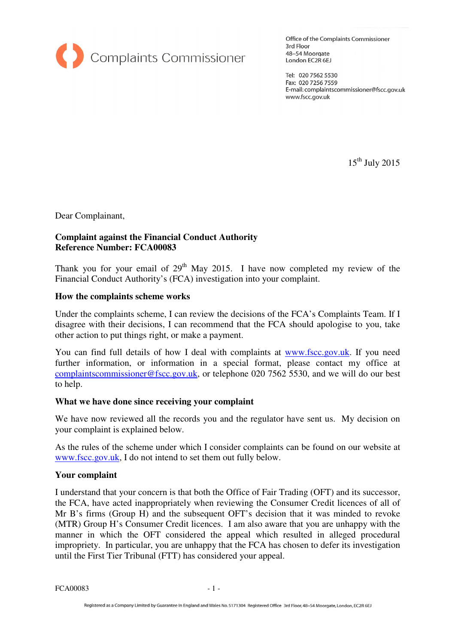

Office of the Complaints Commissioner 3rd Floor 48-54 Moorgate London EC2R 6EJ

Tel: 020 7562 5530 Fax: 020 7256 7559 E-mail: complaintscommissioner@fscc.gov.uk www.fscc.gov.uk

 $15^{\text{th}}$  July 2015

Dear Complainant,

# **Complaint against the Financial Conduct Authority Reference Number: FCA00083**

Thank you for your email of  $29<sup>th</sup>$  May 2015. I have now completed my review of the Financial Conduct Authority's (FCA) investigation into your complaint.

## **How the complaints scheme works**

Under the complaints scheme, I can review the decisions of the FCA's Complaints Team. If I disagree with their decisions, I can recommend that the FCA should apologise to you, take other action to put things right, or make a payment.

You can find full details of how I deal with complaints at www.fscc.gov.uk. If you need further information, or information in a special format, please contact my office at complaintscommissioner@fscc.gov.uk, or telephone 020 7562 5530, and we will do our best to help.

### **What we have done since receiving your complaint**

We have now reviewed all the records you and the regulator have sent us. My decision on your complaint is explained below.

As the rules of the scheme under which I consider complaints can be found on our website at www.fscc.gov.uk, I do not intend to set them out fully below.

### **Your complaint**

I understand that your concern is that both the Office of Fair Trading (OFT) and its successor, the FCA, have acted inappropriately when reviewing the Consumer Credit licences of all of Mr B's firms (Group H) and the subsequent OFT's decision that it was minded to revoke (MTR) Group H's Consumer Credit licences. I am also aware that you are unhappy with the manner in which the OFT considered the appeal which resulted in alleged procedural impropriety. In particular, you are unhappy that the FCA has chosen to defer its investigation until the First Tier Tribunal (FTT) has considered your appeal.

FCA00083 - 1 -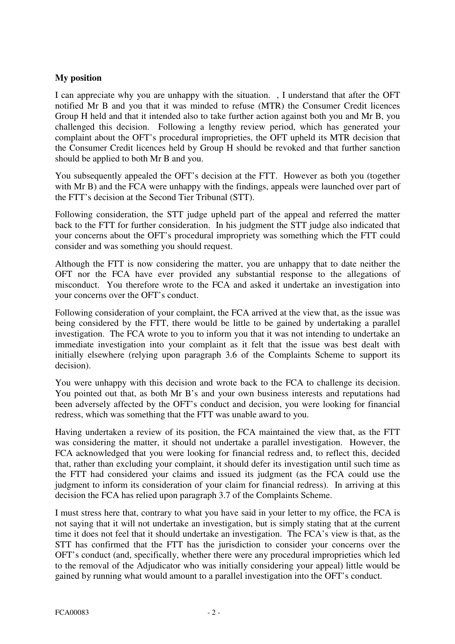## **My position**

I can appreciate why you are unhappy with the situation. , I understand that after the OFT notified Mr B and you that it was minded to refuse (MTR) the Consumer Credit licences Group H held and that it intended also to take further action against both you and Mr B, you challenged this decision. Following a lengthy review period, which has generated your complaint about the OFT's procedural improprieties, the OFT upheld its MTR decision that the Consumer Credit licences held by Group H should be revoked and that further sanction should be applied to both Mr B and you.

You subsequently appealed the OFT's decision at the FTT. However as both you (together with Mr B) and the FCA were unhappy with the findings, appeals were launched over part of the FTT's decision at the Second Tier Tribunal (STT).

Following consideration, the STT judge upheld part of the appeal and referred the matter back to the FTT for further consideration. In his judgment the STT judge also indicated that your concerns about the OFT's procedural impropriety was something which the FTT could consider and was something you should request.

Although the FTT is now considering the matter, you are unhappy that to date neither the OFT nor the FCA have ever provided any substantial response to the allegations of misconduct. You therefore wrote to the FCA and asked it undertake an investigation into your concerns over the OFT's conduct.

Following consideration of your complaint, the FCA arrived at the view that, as the issue was being considered by the FTT, there would be little to be gained by undertaking a parallel investigation. The FCA wrote to you to inform you that it was not intending to undertake an immediate investigation into your complaint as it felt that the issue was best dealt with initially elsewhere (relying upon paragraph 3.6 of the Complaints Scheme to support its decision).

You were unhappy with this decision and wrote back to the FCA to challenge its decision. You pointed out that, as both Mr B's and your own business interests and reputations had been adversely affected by the OFT's conduct and decision, you were looking for financial redress, which was something that the FTT was unable award to you.

Having undertaken a review of its position, the FCA maintained the view that, as the FTT was considering the matter, it should not undertake a parallel investigation. However, the FCA acknowledged that you were looking for financial redress and, to reflect this, decided that, rather than excluding your complaint, it should defer its investigation until such time as the FTT had considered your claims and issued its judgment (as the FCA could use the judgment to inform its consideration of your claim for financial redress). In arriving at this decision the FCA has relied upon paragraph 3.7 of the Complaints Scheme.

I must stress here that, contrary to what you have said in your letter to my office, the FCA is not saying that it will not undertake an investigation, but is simply stating that at the current time it does not feel that it should undertake an investigation. The FCA's view is that, as the STT has confirmed that the FTT has the jurisdiction to consider your concerns over the OFT's conduct (and, specifically, whether there were any procedural improprieties which led to the removal of the Adjudicator who was initially considering your appeal) little would be gained by running what would amount to a parallel investigation into the OFT's conduct.